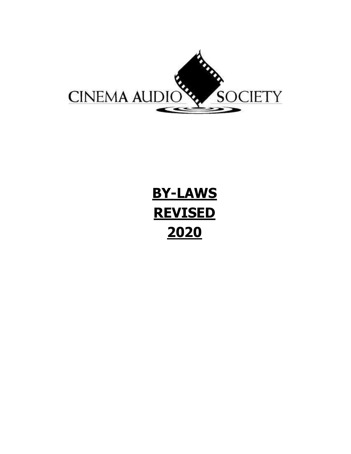

# **BY-LAWS REVISED 2020**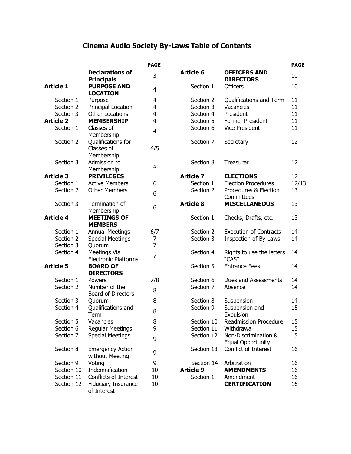# **Cinema Audio Society By-Laws Table of Contents**

|                  |                                             | <b>PAGE</b>    |                  |                                                  | <b>PAGE</b> |
|------------------|---------------------------------------------|----------------|------------------|--------------------------------------------------|-------------|
|                  | <b>Declarations of</b><br><b>Principals</b> | 3              | <b>Article 6</b> | <b>OFFICERS AND</b><br><b>DIRECTORS</b>          | 10          |
| <b>Article 1</b> | <b>PURPOSE AND</b><br><b>LOCATION</b>       | 4              | Section 1        | <b>Officers</b>                                  | 10          |
| Section 1        | Purpose                                     | 4              | Section 2        | Qualifications and Term                          | 11          |
| Section 2        | Principal Location                          | $\overline{4}$ | Section 3        | Vacancies                                        | 11          |
| Section 3        | <b>Other Locations</b>                      | 4              | Section 4        | President                                        | 11          |
| <b>Article 2</b> | <b>MEMBERSHIP</b>                           | 4              | Section 5        | Former President                                 | 11          |
| Section 1        | Classes of<br>Membership                    | $\overline{4}$ | Section 6        | <b>Vice President</b>                            | 11          |
| Section 2        | Qualifications for                          |                | Section 7        | Secretary                                        | 12          |
|                  | Classes of<br>Membership                    | 4/5            |                  |                                                  |             |
| Section 3        | Admission to<br>Membership                  | 5              | Section 8        | Treasurer                                        | 12          |
| <b>Article 3</b> | <b>PRIVILEGES</b>                           |                | <b>Article 7</b> | <b>ELECTIONS</b>                                 | 12          |
| Section 1        | <b>Active Members</b>                       | 6              | Section 1        | <b>Election Procedures</b>                       | 12/13       |
| Section 2        | <b>Other Members</b>                        | 6              | Section 2        | Procedures & Election<br>Committees              | 13          |
| Section 3        | Termination of<br>Membership                | 6              | <b>Article 8</b> | <b>MISCELLANEOUS</b>                             | 13          |
| <b>Article 4</b> | <b>MEETINGS OF</b><br><b>MEMBERS</b>        |                | Section 1        | Checks, Drafts, etc.                             | 13          |
| Section 1        | <b>Annual Meetings</b>                      | 6/7            | Section 2        | <b>Execution of Contracts</b>                    | 14          |
| Section 2        | <b>Special Meetings</b>                     | 7              | Section 3        | Inspection of By-Laws                            | 14          |
| Section 3        | Quorum                                      | $\overline{7}$ |                  |                                                  |             |
| Section 4        | Meetings Via<br><b>Electronic Platforms</b> | $\overline{7}$ | Section 4        | Rights to use the letters<br>"CAS"               | 14          |
| <b>Article 5</b> | <b>BOARD OF</b><br><b>DIRECTORS</b>         |                | Section 5        | <b>Entrance Fees</b>                             | 14          |
| Section 1        | Powers                                      | 7/8            | Section 6        | Dues and Assessments                             | 14          |
| Section 2        | Number of the<br><b>Board of Directors</b>  | 8              | Section 7        | Absence                                          | 14          |
| Section 3        | Quorum                                      | 8              | Section 8        | Suspension                                       | 14          |
| Section 4        | Qualifications and<br>Term                  | 8              | Section 9        | Suspension and<br>Expulsion                      | 15          |
| Section 5        | Vacancies                                   | 8              | Section 10       | <b>Readmission Procedure</b>                     | 15          |
| Section 6        | <b>Regular Meetings</b>                     | 9              | Section 11       | Withdrawal                                       | 15          |
| Section 7        | <b>Special Meetings</b>                     | 9              | Section 12       | Non-Discrimination &<br><b>Equal Opportunity</b> | 15          |
| Section 8        | <b>Emergency Action</b><br>without Meeting  | 9              | Section 13       | Conflict of Interest                             | 16          |
| Section 9        | Voting                                      | 9              | Section 14       | Arbitration                                      | 16          |
| Section 10       | Indemnification                             | 10             | <b>Article 9</b> | <b>AMENDMENTS</b>                                | 16          |
| Section 11       | Conflicts of Interest                       | 10             | Section 1        | Amendment                                        | 16          |
| Section 12       | <b>Fiduciary Insurance</b><br>of Interest   | 10             |                  | <b>CERTIFICATION</b>                             | 16          |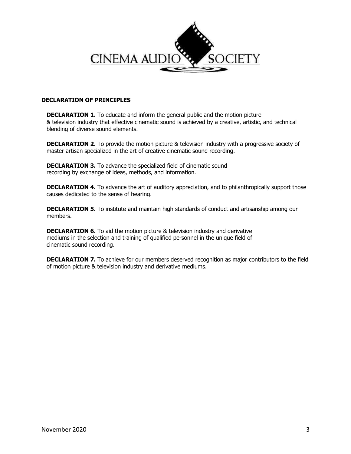

# **DECLARATION OF PRINCIPLES**

**DECLARATION 1.** To educate and inform the general public and the motion picture & television industry that effective cinematic sound is achieved by a creative, artistic, and technical blending of diverse sound elements.

**DECLARATION 2.** To provide the motion picture & television industry with a progressive society of master artisan specialized in the art of creative cinematic sound recording.

**DECLARATION 3.** To advance the specialized field of cinematic sound recording by exchange of ideas, methods, and information.

**DECLARATION 4.** To advance the art of auditory appreciation, and to philanthropically support those causes dedicated to the sense of hearing.

**DECLARATION 5.** To institute and maintain high standards of conduct and artisanship among our members.

**DECLARATION 6.** To aid the motion picture & television industry and derivative mediums in the selection and training of qualified personnel in the unique field of cinematic sound recording.

**DECLARATION 7.** To achieve for our members deserved recognition as major contributors to the field of motion picture & television industry and derivative mediums.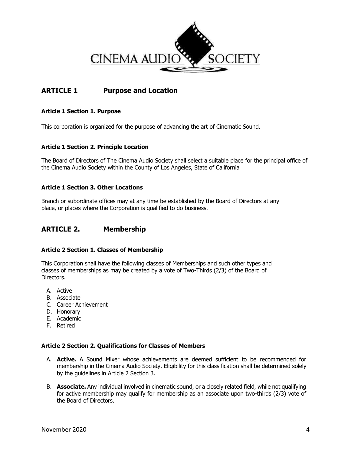

# **ARTICLE 1 Purpose and Location**

# **Article 1 Section 1. Purpose**

This corporation is organized for the purpose of advancing the art of Cinematic Sound.

# **Article 1 Section 2. Principle Location**

The Board of Directors of The Cinema Audio Society shall select a suitable place for the principal office of the Cinema Audio Society within the County of Los Angeles, State of California

# **Article 1 Section 3. Other Locations**

Branch or subordinate offices may at any time be established by the Board of Directors at any place, or places where the Corporation is qualified to do business.

# **ARTICLE 2. Membership**

# **Article 2 Section 1. Classes of Membership**

This Corporation shall have the following classes of Memberships and such other types and classes of memberships as may be created by a vote of Two-Thirds (2/3) of the Board of Directors.

- A. Active
- B. Associate
- C. Career Achievement
- D. Honorary
- E. Academic
- F. Retired

# **Article 2 Section 2. Qualifications for Classes of Members**

- A. **Active.** A Sound Mixer whose achievements are deemed sufficient to be recommended for membership in the Cinema Audio Society. Eligibility for this classification shall be determined solely by the guidelines in Article 2 Section 3.
- B. **Associate.** Any individual involved in cinematic sound, or a closely related field, while not qualifying for active membership may qualify for membership as an associate upon two-thirds (2/3) vote of the Board of Directors.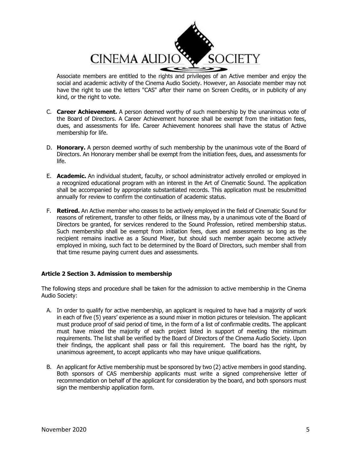

Associate members are entitled to the rights and privileges of an Active member and enjoy the social and academic activity of the Cinema Audio Society. However, an Associate member may not have the right to use the letters "CAS" after their name on Screen Credits, or in publicity of any kind, or the right to vote.

- C. **Career Achievement.** A person deemed worthy of such membership by the unanimous vote of the Board of Directors. A Career Achievement honoree shall be exempt from the initiation fees, dues, and assessments for life. Career Achievement honorees shall have the status of Active membership for life.
- D. **Honorary.** A person deemed worthy of such membership by the unanimous vote of the Board of Directors. An Honorary member shall be exempt from the initiation fees, dues, and assessments for life.
- E. **Academic.** An individual student, faculty, or school administrator actively enrolled or employed in a recognized educational program with an interest in the Art of Cinematic Sound. The application shall be accompanied by appropriate substantiated records. This application must be resubmitted annually for review to confirm the continuation of academic status.
- F. **Retired.** An Active member who ceases to be actively employed in the field of Cinematic Sound for reasons of retirement, transfer to other fields, or illness may, by a unanimous vote of the Board of Directors be granted, for services rendered to the Sound Profession, retired membership status. Such membership shall be exempt from initiation fees, dues and assessments so long as the recipient remains inactive as a Sound Mixer, but should such member again become actively employed in mixing, such fact to be determined by the Board of Directors, such member shall from that time resume paying current dues and assessments.

# **Article 2 Section 3. Admission to membership**

The following steps and procedure shall be taken for the admission to active membership in the Cinema Audio Society:

- A. In order to qualify for active membership, an applicant is required to have had a majority of work in each of five (5) years' experience as a sound mixer in motion pictures or television. The applicant must produce proof of said period of time, in the form of a list of confirmable credits. The applicant must have mixed the majority of each project listed in support of meeting the minimum requirements. The list shall be verified by the Board of Directors of the Cinema Audio Society. Upon their findings, the applicant shall pass or fail this requirement. The board has the right, by unanimous agreement, to accept applicants who may have unique qualifications.
- B. An applicant for Active membership must be sponsored by two (2) active members in good standing. Both sponsors of CAS membership applicants must write a signed comprehensive letter of recommendation on behalf of the applicant for consideration by the board, and both sponsors must sign the membership application form.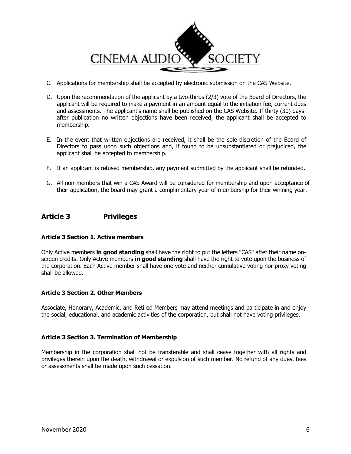

- C. Applications for membership shall be accepted by electronic submission on the CAS Website.
- D. Upon the recommendation of the applicant by a two-thirds (2/3) vote of the Board of Directors, the applicant will be required to make a payment in an amount equal to the initiation fee, current dues and assessments. The applicant's name shall be published on the CAS Website. If thirty (30) days after publication no written objections have been received, the applicant shall be accepted to membership.
- E. In the event that written objections are received, it shall be the sole discretion of the Board of Directors to pass upon such objections and, if found to be unsubstantiated or prejudiced, the applicant shall be accepted to membership.
- F. If an applicant is refused membership, any payment submitted by the applicant shall be refunded.
- G. All non-members that win a CAS Award will be considered for membership and upon acceptance of their application, the board may grant a complimentary year of membership for their winning year.

# **Article 3 Privileges**

# **Article 3 Section 1. Active members**

Only Active members **in good standing** shall have the right to put the letters "CAS" after their name onscreen credits. Only Active members **in good standing** shall have the right to vote upon the business of the corporation. Each Active member shall have one vote and neither cumulative voting nor proxy voting shall be allowed.

# **Article 3 Section 2. Other Members**

Associate, Honorary, Academic, and Retired Members may attend meetings and participate in and enjoy the social, educational, and academic activities of the corporation, but shall not have voting privileges.

# **Article 3 Section 3. Termination of Membership**

Membership in the corporation shall not be transferable and shall cease together with all rights and privileges therein upon the death, withdrawal or expulsion of such member. No refund of any dues, fees or assessments shall be made upon such cessation.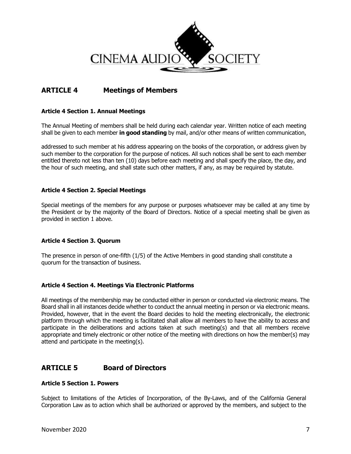

# **ARTICLE 4 Meetings of Members**

# **Article 4 Section 1. Annual Meetings**

The Annual Meeting of members shall be held during each calendar year. Written notice of each meeting shall be given to each member **in good standing** by mail, and/or other means of written communication,

addressed to such member at his address appearing on the books of the corporation, or address given by such member to the corporation for the purpose of notices. All such notices shall be sent to each member entitled thereto not less than ten (10) days before each meeting and shall specify the place, the day, and the hour of such meeting, and shall state such other matters, if any, as may be required by statute.

#### **Article 4 Section 2. Special Meetings**

Special meetings of the members for any purpose or purposes whatsoever may be called at any time by the President or by the majority of the Board of Directors. Notice of a special meeting shall be given as provided in section 1 above.

# **Article 4 Section 3. Quorum**

The presence in person of one-fifth (1/5) of the Active Members in good standing shall constitute a quorum for the transaction of business.

# **Article 4 Section 4. Meetings Via Electronic Platforms**

All meetings of the membership may be conducted either in person or conducted via electronic means. The Board shall in all instances decide whether to conduct the annual meeting in person or via electronic means. Provided, however, that in the event the Board decides to hold the meeting electronically, the electronic platform through which the meeting is facilitated shall allow all members to have the ability to access and participate in the deliberations and actions taken at such meeting(s) and that all members receive appropriate and timely electronic or other notice of the meeting with directions on how the member(s) may attend and participate in the meeting(s).

# **ARTICLE 5 Board of Directors**

#### **Article 5 Section 1. Powers**

Subject to limitations of the Articles of Incorporation, of the By-Laws, and of the California General Corporation Law as to action which shall be authorized or approved by the members, and subject to the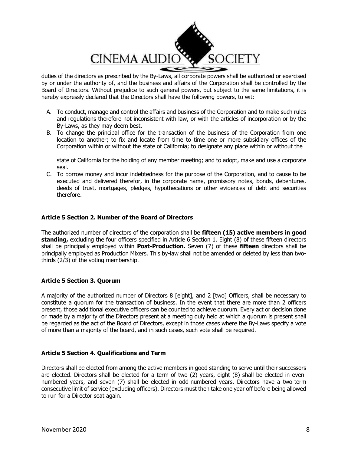

duties of the directors as prescribed by the By-Laws, all corporate powers shall be authorized or exercised by or under the authority of, and the business and affairs of the Corporation shall be controlled by the Board of Directors. Without prejudice to such general powers, but subject to the same limitations, it is hereby expressly declared that the Directors shall have the following powers, to wit:

- A. To conduct, manage and control the affairs and business of the Corporation and to make such rules and regulations therefore not inconsistent with law, or with the articles of incorporation or by the By-Laws, as they may deem best.
- B. To change the principal office for the transaction of the business of the Corporation from one location to another; to fix and locate from time to time one or more subsidiary offices of the Corporation within or without the state of California; to designate any place within or without the

state of California for the holding of any member meeting; and to adopt, make and use a corporate seal.

C. To borrow money and incur indebtedness for the purpose of the Corporation, and to cause to be executed and delivered therefor, in the corporate name, promissory notes, bonds, debentures, deeds of trust, mortgages, pledges, hypothecations or other evidences of debt and securities therefore.

# **Article 5 Section 2. Number of the Board of Directors**

The authorized number of directors of the corporation shall be **fifteen (15) active members in good standing,** excluding the four officers specified in Article 6 Section 1. Eight (8) of these fifteen directors shall be principally employed within **Post-Production.** Seven (7) of these **fifteen** directors shall be principally employed as Production Mixers. This by-law shall not be amended or deleted by less than twothirds (2/3) of the voting membership.

# **Article 5 Section 3. Quorum**

A majority of the authorized number of Directors 8 [eight], and 2 [two] Officers, shall be necessary to constitute a quorum for the transaction of business. In the event that there are more than 2 officers present, those additional executive officers can be counted to achieve quorum. Every act or decision done or made by a majority of the Directors present at a meeting duly held at which a quorum is present shall be regarded as the act of the Board of Directors, except in those cases where the By-Laws specify a vote of more than a majority of the board, and in such cases, such vote shall be required.

#### **Article 5 Section 4. Qualifications and Term**

Directors shall be elected from among the active members in good standing to serve until their successors are elected. Directors shall be elected for a term of two (2) years, eight (8) shall be elected in evennumbered years, and seven (7) shall be elected in odd-numbered years. Directors have a two-term consecutive limit of service (excluding officers). Directors must then take one year off before being allowed to run for a Director seat again.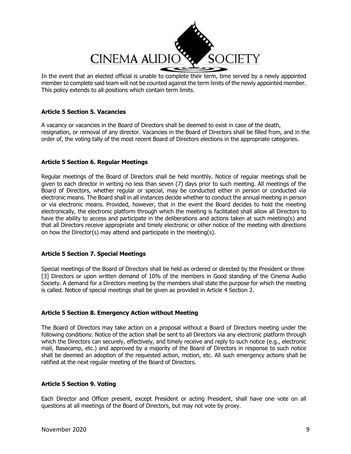

In the event that an elected official is unable to complete their term, time served by a newly appointed member to complete said team will not be counted against the term limits of the newly appointed member. This policy extends to all positions which contain term limits.

# **Article 5 Section 5. Vacancies**

A vacancy or vacancies in the Board of Directors shall be deemed to exist in case of the death, resignation, or removal of any director. Vacancies in the Board of Directors shall be filled from, and in the order of, the voting tally of the most recent Board of Directors elections in the appropriate categories.

# **Article 5 Section 6. Regular Meetings**

Regular meetings of the Board of Directors shall be held monthly. Notice of regular meetings shall be given to each director in writing no less than seven (7) days prior to such meeting. All meetings of the Board of Directors, whether regular or special, may be conducted either in person or conducted via electronic means. The Board shall in all instances decide whether to conduct the annual meeting in person or via electronic means. Provided, however, that in the event the Board decides to hold the meeting electronically, the electronic platform through which the meeting is facilitated shall allow all Directors to have the ability to access and participate in the deliberations and actions taken at such meeting(s) and that all Directors receive appropriate and timely electronic or other notice of the meeting with directions on how the Director(s) may attend and participate in the meeting(s).

# **Article 5 Section 7. Special Meetings**

Special meetings of the Board of Directors shall be held as ordered or directed by the President or three [3] Directors or upon written demand of 10% of the members in Good standing of the Cinema Audio Society. A demand for a Directors meeting by the members shall state the purpose for which the meeting is called. Notice of special meetings shall be given as provided in Article 4 Section 2.

# **Article 5 Section 8. Emergency Action without Meeting**

The Board of Directors may take action on a proposal without a Board of Directors meeting under the following conditions: Notice of the action shall be sent to all Directors via any electronic platform through which the Directors can securely, effectively, and timely receive and reply to such notice (e.g., electronic mail, Basecamp, etc.) and approved by a majority of the Board of Directors in response to such notice shall be deemed an adoption of the requested action, motion, etc. All such emergency actions shall be ratified at the next regular meeting of the Board of Directors.

#### **Article 5 Section 9. Voting**

Each Director and Officer present, except President or acting President, shall have one vote on all questions at all meetings of the Board of Directors, but may not vote by proxy.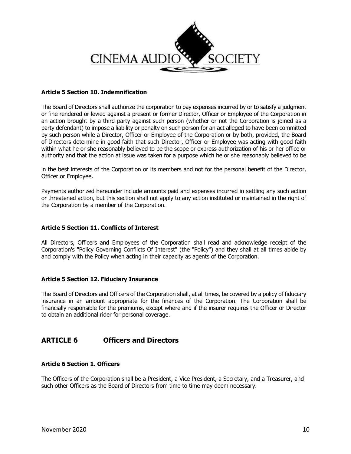

# **Article 5 Section 10. Indemnification**

The Board of Directors shall authorize the corporation to pay expenses incurred by or to satisfy a judgment or fine rendered or levied against a present or former Director, Officer or Employee of the Corporation in an action brought by a third party against such person (whether or not the Corporation is joined as a party defendant) to impose a liability or penalty on such person for an act alleged to have been committed by such person while a Director, Officer or Employee of the Corporation or by both, provided, the Board of Directors determine in good faith that such Director, Officer or Employee was acting with good faith within what he or she reasonably believed to be the scope or express authorization of his or her office or authority and that the action at issue was taken for a purpose which he or she reasonably believed to be

in the best interests of the Corporation or its members and not for the personal benefit of the Director, Officer or Employee.

Payments authorized hereunder include amounts paid and expenses incurred in settling any such action or threatened action, but this section shall not apply to any action instituted or maintained in the right of the Corporation by a member of the Corporation.

#### **Article 5 Section 11. Conflicts of Interest**

All Directors, Officers and Employees of the Corporation shall read and acknowledge receipt of the Corporation's "Policy Governing Conflicts Of Interest" (the "Policy") and they shall at all times abide by and comply with the Policy when acting in their capacity as agents of the Corporation.

#### **Article 5 Section 12. Fiduciary Insurance**

The Board of Directors and Officers of the Corporation shall, at all times, be covered by a policy of fiduciary insurance in an amount appropriate for the finances of the Corporation. The Corporation shall be financially responsible for the premiums, except where and if the insurer requires the Officer or Director to obtain an additional rider for personal coverage.

# **ARTICLE 6 Officers and Directors**

#### **Article 6 Section 1. Officers**

The Officers of the Corporation shall be a President, a Vice President, a Secretary, and a Treasurer, and such other Officers as the Board of Directors from time to time may deem necessary.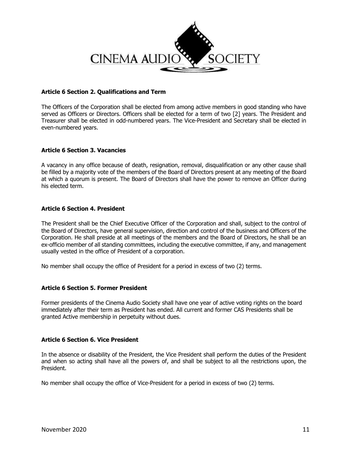

# **Article 6 Section 2. Qualifications and Term**

The Officers of the Corporation shall be elected from among active members in good standing who have served as Officers or Directors. Officers shall be elected for a term of two [2] years. The President and Treasurer shall be elected in odd-numbered years. The Vice-President and Secretary shall be elected in even-numbered years.

# **Article 6 Section 3. Vacancies**

A vacancy in any office because of death, resignation, removal, disqualification or any other cause shall be filled by a majority vote of the members of the Board of Directors present at any meeting of the Board at which a quorum is present. The Board of Directors shall have the power to remove an Officer during his elected term.

#### **Article 6 Section 4. President**

The President shall be the Chief Executive Officer of the Corporation and shall, subject to the control of the Board of Directors, have general supervision, direction and control of the business and Officers of the Corporation. He shall preside at all meetings of the members and the Board of Directors, he shall be an ex-officio member of all standing committees, including the executive committee, if any, and management usually vested in the office of President of a corporation.

No member shall occupy the office of President for a period in excess of two (2) terms.

#### **Article 6 Section 5. Former President**

Former presidents of the Cinema Audio Society shall have one year of active voting rights on the board immediately after their term as President has ended. All current and former CAS Presidents shall be granted Active membership in perpetuity without dues.

#### **Article 6 Section 6. Vice President**

In the absence or disability of the President, the Vice President shall perform the duties of the President and when so acting shall have all the powers of, and shall be subject to all the restrictions upon, the President.

No member shall occupy the office of Vice-President for a period in excess of two (2) terms.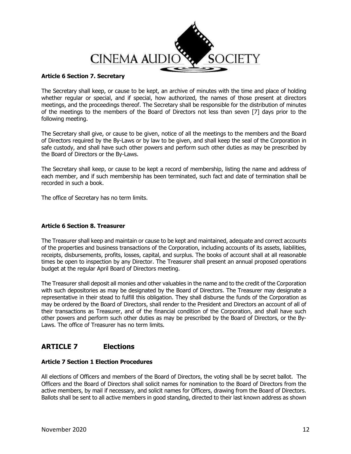

# **Article 6 Section 7. Secretary**

The Secretary shall keep, or cause to be kept, an archive of minutes with the time and place of holding whether regular or special, and if special, how authorized, the names of those present at directors meetings, and the proceedings thereof. The Secretary shall be responsible for the distribution of minutes of the meetings to the members of the Board of Directors not less than seven [7] days prior to the following meeting.

The Secretary shall give, or cause to be given, notice of all the meetings to the members and the Board of Directors required by the By-Laws or by law to be given, and shall keep the seal of the Corporation in safe custody, and shall have such other powers and perform such other duties as may be prescribed by the Board of Directors or the By-Laws.

The Secretary shall keep, or cause to be kept a record of membership, listing the name and address of each member, and if such membership has been terminated, such fact and date of termination shall be recorded in such a book.

The office of Secretary has no term limits.

# **Article 6 Section 8. Treasurer**

The Treasurer shall keep and maintain or cause to be kept and maintained, adequate and correct accounts of the properties and business transactions of the Corporation, including accounts of its assets, liabilities, receipts, disbursements, profits, losses, capital, and surplus. The books of account shall at all reasonable times be open to inspection by any Director. The Treasurer shall present an annual proposed operations budget at the regular April Board of Directors meeting.

The Treasurer shall deposit all monies and other valuables in the name and to the credit of the Corporation with such depositories as may be designated by the Board of Directors. The Treasurer may designate a representative in their stead to fulfill this obligation. They shall disburse the funds of the Corporation as may be ordered by the Board of Directors, shall render to the President and Directors an account of all of their transactions as Treasurer, and of the financial condition of the Corporation, and shall have such other powers and perform such other duties as may be prescribed by the Board of Directors, or the By-Laws. The office of Treasurer has no term limits.

# **ARTICLE 7 Elections**

# **Article 7 Section 1 Election Procedures**

All elections of Officers and members of the Board of Directors, the voting shall be by secret ballot. The Officers and the Board of Directors shall solicit names for nomination to the Board of Directors from the active members, by mail if necessary, and solicit names for Officers, drawing from the Board of Directors. Ballots shall be sent to all active members in good standing, directed to their last known address as shown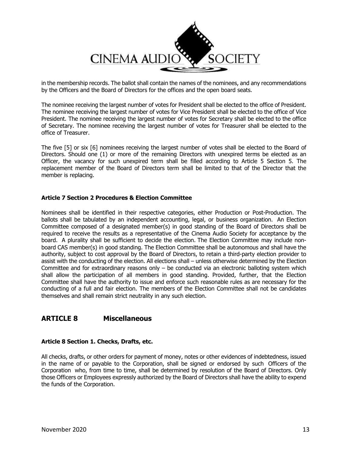

in the membership records. The ballot shall contain the names of the nominees, and any recommendations by the Officers and the Board of Directors for the offices and the open board seats.

The nominee receiving the largest number of votes for President shall be elected to the office of President. The nominee receiving the largest number of votes for Vice President shall be elected to the office of Vice President. The nominee receiving the largest number of votes for Secretary shall be elected to the office of Secretary. The nominee receiving the largest number of votes for Treasurer shall be elected to the office of Treasurer.

The five [5] or six [6] nominees receiving the largest number of votes shall be elected to the Board of Directors. Should one (1) or more of the remaining Directors with unexpired terms be elected as an Officer, the vacancy for such unexpired term shall be filled according to Article 5 Section 5. The replacement member of the Board of Directors term shall be limited to that of the Director that the member is replacing.

# **Article 7 Section 2 Procedures & Election Committee**

Nominees shall be identified in their respective categories, either Production or Post-Production. The ballots shall be tabulated by an independent accounting, legal, or business organization. An Election Committee composed of a designated member(s) in good standing of the Board of Directors shall be required to receive the results as a representative of the Cinema Audio Society for acceptance by the board. A plurality shall be sufficient to decide the election. The Election Committee may include nonboard CAS member(s) in good standing. The Election Committee shall be autonomous and shall have the authority, subject to cost approval by the Board of Directors, to retain a third-party election provider to assist with the conducting of the election. All elections shall – unless otherwise determined by the Election Committee and for extraordinary reasons only  $-$  be conducted via an electronic balloting system which shall allow the participation of all members in good standing. Provided, further, that the Election Committee shall have the authority to issue and enforce such reasonable rules as are necessary for the conducting of a full and fair election. The members of the Election Committee shall not be candidates themselves and shall remain strict neutrality in any such election.

# **ARTICLE 8 Miscellaneous**

#### **Article 8 Section 1. Checks, Drafts, etc.**

All checks, drafts, or other orders for payment of money, notes or other evidences of indebtedness, issued in the name of or payable to the Corporation, shall be signed or endorsed by such Officers of the Corporation who, from time to time, shall be determined by resolution of the Board of Directors. Only those Officers or Employees expressly authorized by the Board of Directors shall have the ability to expend the funds of the Corporation.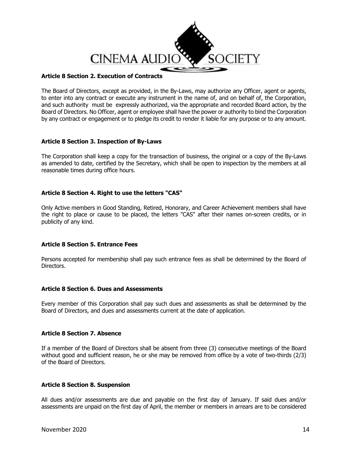

# **Article 8 Section 2. Execution of Contracts**

The Board of Directors, except as provided, in the By-Laws, may authorize any Officer, agent or agents, to enter into any contract or execute any instrument in the name of, and on behalf of, the Corporation, and such authority must be expressly authorized, via the appropriate and recorded Board action, by the Board of Directors. No Officer, agent or employee shall have the power or authority to bind the Corporation by any contract or engagement or to pledge its credit to render it liable for any purpose or to any amount.

# **Article 8 Section 3. Inspection of By-Laws**

The Corporation shall keep a copy for the transaction of business, the original or a copy of the By-Laws as amended to date, certified by the Secretary, which shall be open to inspection by the members at all reasonable times during office hours.

# **Article 8 Section 4. Right to use the letters "CAS"**

Only Active members in Good Standing, Retired, Honorary, and Career Achievement members shall have the right to place or cause to be placed, the letters "CAS" after their names on-screen credits, or in publicity of any kind.

# **Article 8 Section 5. Entrance Fees**

Persons accepted for membership shall pay such entrance fees as shall be determined by the Board of Directors.

# **Article 8 Section 6. Dues and Assessments**

Every member of this Corporation shall pay such dues and assessments as shall be determined by the Board of Directors, and dues and assessments current at the date of application.

#### **Article 8 Section 7. Absence**

If a member of the Board of Directors shall be absent from three (3) consecutive meetings of the Board without good and sufficient reason, he or she may be removed from office by a vote of two-thirds (2/3) of the Board of Directors.

# **Article 8 Section 8. Suspension**

All dues and/or assessments are due and payable on the first day of January. If said dues and/or assessments are unpaid on the first day of April, the member or members in arrears are to be considered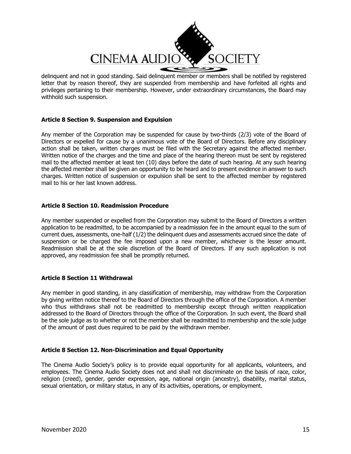

delinquent and not in good standing. Said delinquent member or members shall be notified by registered letter that by reason thereof, they are suspended from membership and have forfeited all rights and privileges pertaining to their membership. However, under extraordinary circumstances, the Board may withhold such suspension.

# **Article 8 Section 9. Suspension and Expulsion**

Any member of the Corporation may be suspended for cause by two-thirds (2/3) vote of the Board of Directors or expelled for cause by a unanimous vote of the Board of Directors. Before any disciplinary action shall be taken, written charges must be filed with the Secretary against the affected member. Written notice of the charges and the time and place of the hearing thereon must be sent by registered mail to the affected member at least ten (10) days before the date of such hearing. At any such hearing the affected member shall be given an opportunity to be heard and to present evidence in answer to such charges. Written notice of suspension or expulsion shall be sent to the affected member by registered mail to his or her last known address.

# **Article 8 Section 10. Readmission Procedure**

Any member suspended or expelled from the Corporation may submit to the Board of Directors a written application to be readmitted, to be accompanied by a readmission fee in the amount equal to the sum of current dues, assessments, one-half (1/2) the delinquent dues and assessments accrued since the date of suspension or be charged the fee imposed upon a new member, whichever is the lesser amount. Readmission shall be at the sole discretion of the Board of Directors. If any such application is not approved, any readmission fee shall be promptly returned.

# **Article 8 Section 11 Withdrawal**

Any member in good standing, in any classification of membership, may withdraw from the Corporation by giving written notice thereof to the Board of Directors through the office of the Corporation. A member who thus withdraws shall not be readmitted to membership except through written reapplication addressed to the Board of Directors through the office of the Corporation. In such event, the Board shall be the sole judge as to whether or not the member shall be readmitted to membership and the sole judge of the amount of past dues required to be paid by the withdrawn member.

# **Article 8 Section 12. Non-Discrimination and Equal Opportunity**

The Cinema Audio Society's policy is to provide equal opportunity for all applicants, volunteers, and employees. The Cinema Audio Society does not and shall not discriminate on the basis of race, color, religion (creed), gender, gender expression, age, national origin (ancestry), disability, marital status, sexual orientation, or military status, in any of its activities, operations, or employment.